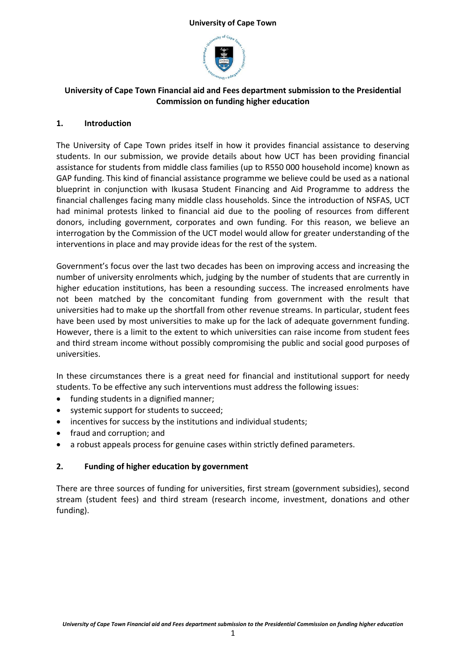

# **University of Cape Town Financial aid and Fees department submission to the Presidential Commission on funding higher education**

## **1. Introduction**

The University of Cape Town prides itself in how it provides financial assistance to deserving students. In our submission, we provide details about how UCT has been providing financial assistance for students from middle class families (up to R550 000 household income) known as GAP funding. This kind of financial assistance programme we believe could be used as a national blueprint in conjunction with Ikusasa Student Financing and Aid Programme to address the financial challenges facing many middle class households. Since the introduction of NSFAS, UCT had minimal protests linked to financial aid due to the pooling of resources from different donors, including government, corporates and own funding. For this reason, we believe an interrogation by the Commission of the UCT model would allow for greater understanding of the interventions in place and may provide ideas for the rest of the system.

Government's focus over the last two decades has been on improving access and increasing the number of university enrolments which, judging by the number of students that are currently in higher education institutions, has been a resounding success. The increased enrolments have not been matched by the concomitant funding from government with the result that universities had to make up the shortfall from other revenue streams. In particular, student fees have been used by most universities to make up for the lack of adequate government funding. However, there is a limit to the extent to which universities can raise income from student fees and third stream income without possibly compromising the public and social good purposes of universities.

In these circumstances there is a great need for financial and institutional support for needy students. To be effective any such interventions must address the following issues:

- funding students in a dignified manner;
- systemic support for students to succeed;
- incentives for success by the institutions and individual students;
- fraud and corruption; and
- a robust appeals process for genuine cases within strictly defined parameters.

# **2. Funding of higher education by government**

There are three sources of funding for universities, first stream (government subsidies), second stream (student fees) and third stream (research income, investment, donations and other funding).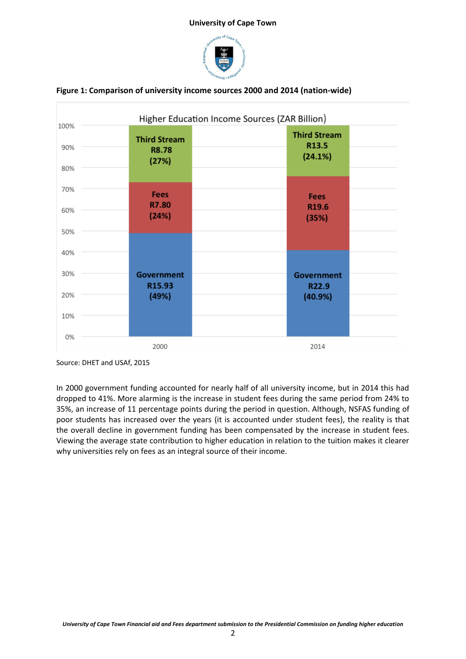



#### **Figure 1: Comparison of university income sources 2000 and 2014 (nation-wide)**

In 2000 government funding accounted for nearly half of all university income, but in 2014 this had dropped to 41%. More alarming is the increase in student fees during the same period from 24% to 35%, an increase of 11 percentage points during the period in question. Although, NSFAS funding of poor students has increased over the years (it is accounted under student fees), the reality is that the overall decline in government funding has been compensated by the increase in student fees. Viewing the average state contribution to higher education in relation to the tuition makes it clearer why universities rely on fees as an integral source of their income.

Source: DHET and USAf, 2015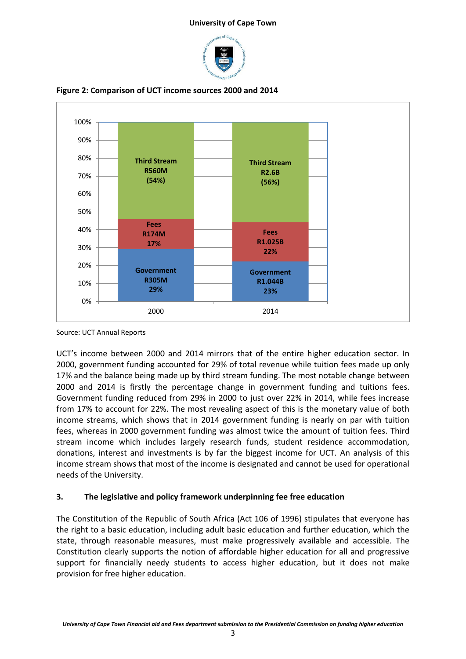



**Figure 2: Comparison of UCT income sources 2000 and 2014**

Source: UCT Annual Reports

UCT's income between 2000 and 2014 mirrors that of the entire higher education sector. In 2000, government funding accounted for 29% of total revenue while tuition fees made up only 17% and the balance being made up by third stream funding. The most notable change between 2000 and 2014 is firstly the percentage change in government funding and tuitions fees. Government funding reduced from 29% in 2000 to just over 22% in 2014, while fees increase from 17% to account for 22%. The most revealing aspect of this is the monetary value of both income streams, which shows that in 2014 government funding is nearly on par with tuition fees, whereas in 2000 government funding was almost twice the amount of tuition fees. Third stream income which includes largely research funds, student residence accommodation, donations, interest and investments is by far the biggest income for UCT. An analysis of this income stream shows that most of the income is designated and cannot be used for operational needs of the University.

# **3. The legislative and policy framework underpinning fee free education**

The Constitution of the Republic of South Africa (Act 106 of 1996) stipulates that everyone has the right to a basic education, including adult basic education and further education, which the state, through reasonable measures, must make progressively available and accessible. The Constitution clearly supports the notion of affordable higher education for all and progressive support for financially needy students to access higher education, but it does not make provision for free higher education.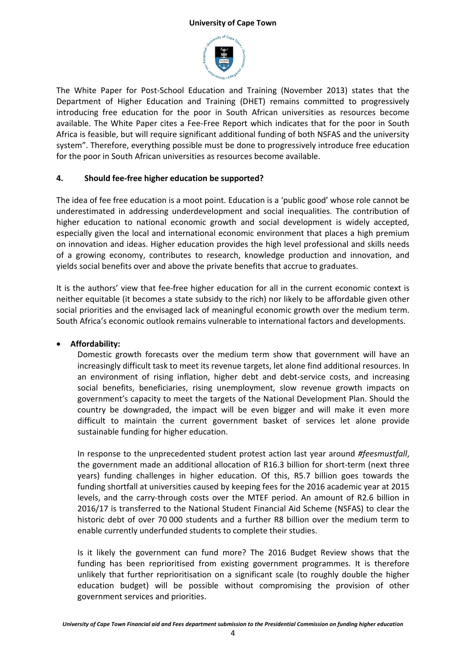

The White Paper for Post-School Education and Training (November 2013) states that the Department of Higher Education and Training (DHET) remains committed to progressively introducing free education for the poor in South African universities as resources become available. The White Paper cites a Fee-Free Report which indicates that for the poor in South Africa is feasible, but will require significant additional funding of both NSFAS and the university system". Therefore, everything possible must be done to progressively introduce free education for the poor in South African universities as resources become available.

### **4. Should fee-free higher education be supported?**

The idea of fee free education is a moot point. Education is a 'public good' whose role cannot be underestimated in addressing underdevelopment and social inequalities. The contribution of higher education to national economic growth and social development is widely accepted, especially given the local and international economic environment that places a high premium on innovation and ideas. Higher education provides the high level professional and skills needs of a growing economy, contributes to research, knowledge production and innovation, and yields social benefits over and above the private benefits that accrue to graduates.

It is the authors' view that fee-free higher education for all in the current economic context is neither equitable (it becomes a state subsidy to the rich) nor likely to be affordable given other social priorities and the envisaged lack of meaningful economic growth over the medium term. South Africa's economic outlook remains vulnerable to international factors and developments.

## **Affordability:**

Domestic growth forecasts over the medium term show that government will have an increasingly difficult task to meet its revenue targets, let alone find additional resources. In an environment of rising inflation, higher debt and debt-service costs, and increasing social benefits, beneficiaries, rising unemployment, slow revenue growth impacts on government's capacity to meet the targets of the National Development Plan. Should the country be downgraded, the impact will be even bigger and will make it even more difficult to maintain the current government basket of services let alone provide sustainable funding for higher education.

In response to the unprecedented student protest action last year around *#feesmustfall*, the government made an additional allocation of R16.3 billion for short-term (next three years) funding challenges in higher education. Of this, R5.7 billion goes towards the funding shortfall at universities caused by keeping fees for the 2016 academic year at 2015 levels, and the carry-through costs over the MTEF period. An amount of R2.6 billion in 2016/17 is transferred to the National Student Financial Aid Scheme (NSFAS) to clear the historic debt of over 70 000 students and a further R8 billion over the medium term to enable currently underfunded students to complete their studies.

Is it likely the government can fund more? The 2016 Budget Review shows that the funding has been reprioritised from existing government programmes. It is therefore unlikely that further reprioritisation on a significant scale (to roughly double the higher education budget) will be possible without compromising the provision of other government services and priorities.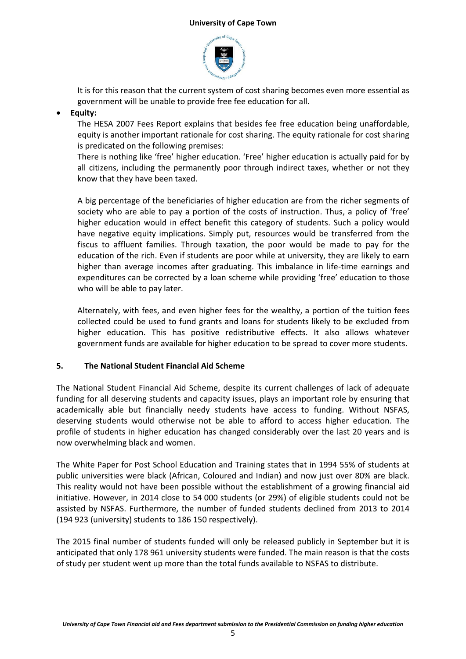

It is for this reason that the current system of cost sharing becomes even more essential as government will be unable to provide free fee education for all.

# **Equity:**

The HESA 2007 Fees Report explains that besides fee free education being unaffordable, equity is another important rationale for cost sharing. The equity rationale for cost sharing is predicated on the following premises:

There is nothing like 'free' higher education. 'Free' higher education is actually paid for by all citizens, including the permanently poor through indirect taxes, whether or not they know that they have been taxed.

A big percentage of the beneficiaries of higher education are from the richer segments of society who are able to pay a portion of the costs of instruction. Thus, a policy of 'free' higher education would in effect benefit this category of students. Such a policy would have negative equity implications. Simply put, resources would be transferred from the fiscus to affluent families. Through taxation, the poor would be made to pay for the education of the rich. Even if students are poor while at university, they are likely to earn higher than average incomes after graduating. This imbalance in life-time earnings and expenditures can be corrected by a loan scheme while providing 'free' education to those who will be able to pay later.

Alternately, with fees, and even higher fees for the wealthy, a portion of the tuition fees collected could be used to fund grants and loans for students likely to be excluded from higher education. This has positive redistributive effects. It also allows whatever government funds are available for higher education to be spread to cover more students.

## **5. The National Student Financial Aid Scheme**

The National Student Financial Aid Scheme, despite its current challenges of lack of adequate funding for all deserving students and capacity issues, plays an important role by ensuring that academically able but financially needy students have access to funding. Without NSFAS, deserving students would otherwise not be able to afford to access higher education. The profile of students in higher education has changed considerably over the last 20 years and is now overwhelming black and women.

The White Paper for Post School Education and Training states that in 1994 55% of students at public universities were black (African, Coloured and Indian) and now just over 80% are black. This reality would not have been possible without the establishment of a growing financial aid initiative. However, in 2014 close to 54 000 students (or 29%) of eligible students could not be assisted by NSFAS. Furthermore, the number of funded students declined from 2013 to 2014 (194 923 (university) students to 186 150 respectively).

The 2015 final number of students funded will only be released publicly in September but it is anticipated that only 178 961 university students were funded. The main reason is that the costs of study per student went up more than the total funds available to NSFAS to distribute.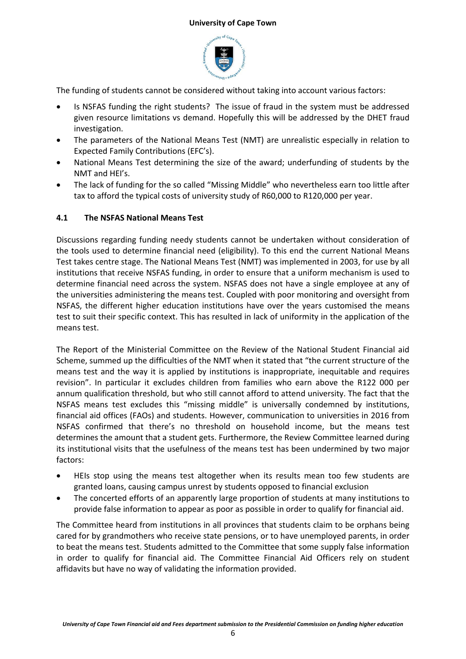

The funding of students cannot be considered without taking into account various factors:

- Is NSFAS funding the right students? The issue of fraud in the system must be addressed given resource limitations vs demand. Hopefully this will be addressed by the DHET fraud investigation.
- The parameters of the National Means Test (NMT) are unrealistic especially in relation to Expected Family Contributions (EFC's).
- National Means Test determining the size of the award; underfunding of students by the NMT and HEI's.
- The lack of funding for the so called "Missing Middle" who nevertheless earn too little after tax to afford the typical costs of university study of R60,000 to R120,000 per year.

# **4.1 The NSFAS National Means Test**

Discussions regarding funding needy students cannot be undertaken without consideration of the tools used to determine financial need (eligibility). To this end the current National Means Test takes centre stage. The National Means Test (NMT) was implemented in 2003, for use by all institutions that receive NSFAS funding, in order to ensure that a uniform mechanism is used to determine financial need across the system. NSFAS does not have a single employee at any of the universities administering the means test. Coupled with poor monitoring and oversight from NSFAS, the different higher education institutions have over the years customised the means test to suit their specific context. This has resulted in lack of uniformity in the application of the means test.

The Report of the Ministerial Committee on the Review of the National Student Financial aid Scheme, summed up the difficulties of the NMT when it stated that "the current structure of the means test and the way it is applied by institutions is inappropriate, inequitable and requires revision". In particular it excludes children from families who earn above the R122 000 per annum qualification threshold, but who still cannot afford to attend university. The fact that the NSFAS means test excludes this "missing middle" is universally condemned by institutions, financial aid offices (FAOs) and students. However, communication to universities in 2016 from NSFAS confirmed that there's no threshold on household income, but the means test determines the amount that a student gets. Furthermore, the Review Committee learned during its institutional visits that the usefulness of the means test has been undermined by two major factors:

- HEIs stop using the means test altogether when its results mean too few students are granted loans, causing campus unrest by students opposed to financial exclusion
- The concerted efforts of an apparently large proportion of students at many institutions to provide false information to appear as poor as possible in order to qualify for financial aid.

The Committee heard from institutions in all provinces that students claim to be orphans being cared for by grandmothers who receive state pensions, or to have unemployed parents, in order to beat the means test. Students admitted to the Committee that some supply false information in order to qualify for financial aid. The Committee Financial Aid Officers rely on student affidavits but have no way of validating the information provided.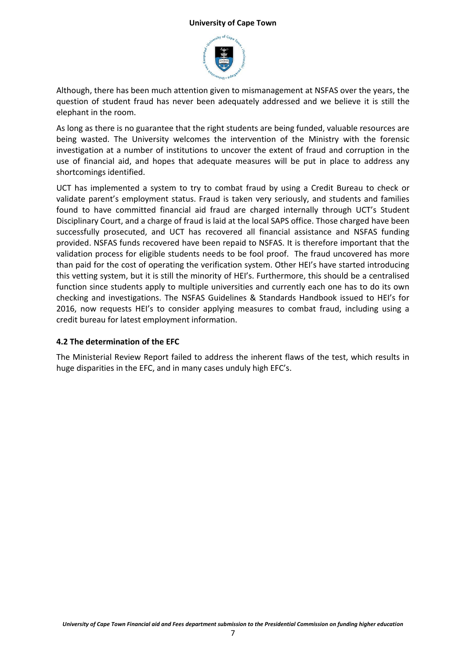

Although, there has been much attention given to mismanagement at NSFAS over the years, the question of student fraud has never been adequately addressed and we believe it is still the elephant in the room.

As long as there is no guarantee that the right students are being funded, valuable resources are being wasted. The University welcomes the intervention of the Ministry with the forensic investigation at a number of institutions to uncover the extent of fraud and corruption in the use of financial aid, and hopes that adequate measures will be put in place to address any shortcomings identified.

UCT has implemented a system to try to combat fraud by using a Credit Bureau to check or validate parent's employment status. Fraud is taken very seriously, and students and families found to have committed financial aid fraud are charged internally through UCT's Student Disciplinary Court, and a charge of fraud is laid at the local SAPS office. Those charged have been successfully prosecuted, and UCT has recovered all financial assistance and NSFAS funding provided. NSFAS funds recovered have been repaid to NSFAS. It is therefore important that the validation process for eligible students needs to be fool proof. The fraud uncovered has more than paid for the cost of operating the verification system. Other HEI's have started introducing this vetting system, but it is still the minority of HEI's. Furthermore, this should be a centralised function since students apply to multiple universities and currently each one has to do its own checking and investigations. The NSFAS Guidelines & Standards Handbook issued to HEI's for 2016, now requests HEI's to consider applying measures to combat fraud, including using a credit bureau for latest employment information.

## **4.2 The determination of the EFC**

The Ministerial Review Report failed to address the inherent flaws of the test, which results in huge disparities in the EFC, and in many cases unduly high EFC's.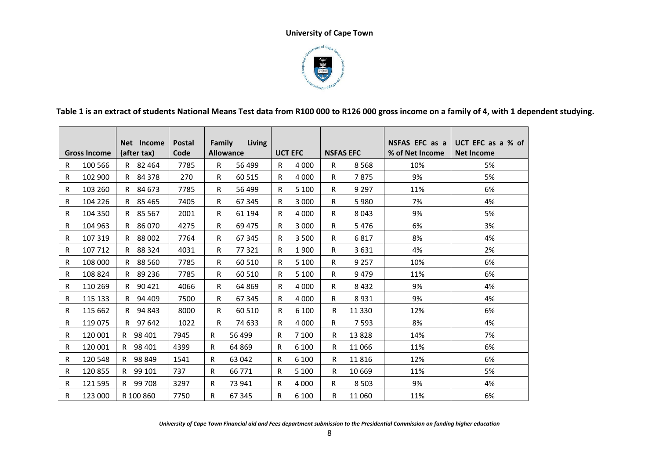

**Table 1 is an extract of students National Means Test data from R100 000 to R126 000 gross income on a family of 4, with 1 dependent studying.**

|    |                     | Net Income    | <b>Postal</b> | Family | <b>Living</b>    |                |         |                  |          | NSFAS EFC as a  | UCT EFC as a % of |
|----|---------------------|---------------|---------------|--------|------------------|----------------|---------|------------------|----------|-----------------|-------------------|
|    | <b>Gross Income</b> | (after tax)   | Code          |        | <b>Allowance</b> | <b>UCT EFC</b> |         | <b>NSFAS EFC</b> |          | % of Net Income | <b>Net Income</b> |
| R. | 100 566             | R 82464       | 7785          | R      | 56 499           | R.             | 4 0 0 0 | R                | 8 5 6 8  | 10%             | 5%                |
| R  | 102 900             | 84 378<br>R.  | 270           | R      | 60 515           | R              | 4 0 0 0 | R                | 7875     | 9%              | 5%                |
| R  | 103 260             | 84 673<br>R.  | 7785          | R      | 56 499           | R              | 5 1 0 0 | R.               | 9 2 9 7  | 11%             | 6%                |
| R  | 104 226             | R 85465       | 7405          | R      | 67 345           | R.             | 3 0 0 0 | R.               | 5980     | 7%              | 4%                |
| R  | 104 350             | R 85 567      | 2001          | R      | 61 194           | R.             | 4 0 0 0 | R                | 8 0 4 3  | 9%              | 5%                |
| R  | 104 963             | 86070<br>R.   | 4275          | R      | 69 475           | R              | 3 0 0 0 | R.               | 5476     | 6%              | 3%                |
| R  | 107 319             | 88 002<br>R.  | 7764          | R      | 67 345           | R.             | 3 500   | R                | 6817     | 8%              | 4%                |
| R  | 107 712             | 88 3 24<br>R  | 4031          | R      | 77 321           | R              | 1900    | R                | 3631     | 4%              | 2%                |
| R  | 108 000             | 88 560<br>R.  | 7785          | R      | 60 510           | R.             | 5 100   | R.               | 9 2 5 7  | 10%             | 6%                |
| R  | 108 824             | 89 236<br>R.  | 7785          | R      | 60 510           | R.             | 5 1 0 0 | R.               | 9479     | 11%             | 6%                |
| R  | 110 269             | 90 4 21<br>R. | 4066          | R      | 64 869           | R.             | 4 0 0 0 | R.               | 8432     | 9%              | 4%                |
| R  | 115 133             | 94 409<br>R   | 7500          | R      | 67 345           | R              | 4 0 0 0 | R                | 8931     | 9%              | 4%                |
| R  | 115 662             | 94 843<br>R   | 8000          | R      | 60 510           | R.             | 6 100   | R                | 11 3 3 0 | 12%             | 6%                |
| R  | 119 075             | 97 642<br>R   | 1022          | R      | 74 633           | R.             | 4 0 0 0 | R.               | 7 5 9 3  | 8%              | 4%                |
| R  | 120 001             | 98 401<br>R.  | 7945          | R      | 56 499           | R              | 7 100   | R                | 13828    | 14%             | 7%                |
| R  | 120 001             | 98 401<br>R   | 4399          | R      | 64 869           | R              | 6 100   | R                | 11 066   | 11%             | 6%                |
| R  | 120 548             | 98 849<br>R   | 1541          | R.     | 63 042           | R              | 6 100   | R                | 11816    | 12%             | 6%                |
| R  | 120855              | 99 101<br>R.  | 737           | R.     | 66 771           | R              | 5 100   | R                | 10 669   | 11%             | 5%                |
| R  | 121 595             | 99 708<br>R   | 3297          | R      | 73 941           | R              | 4 0 0 0 | R.               | 8 5 0 3  | 9%              | 4%                |
| R  | 123 000             | R 100 860     | 7750          | R      | 67 345           | R              | 6 100   | R                | 11 060   | 11%             | 6%                |

*University of Cape Town Financial aid and Fees department submission to the Presidential Commission on funding higher education*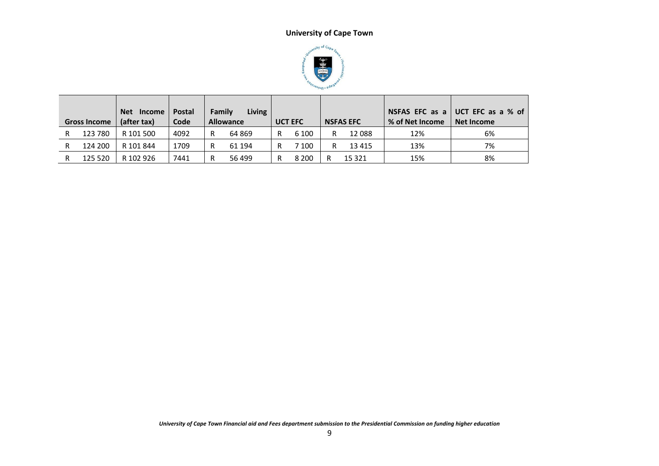

|   | <b>Gross Income</b> | <b>Net</b><br><b>Income</b><br>(after tax) | <b>Postal</b><br>Code | Family | Living<br><b>Allowance</b> | <b>UCT EFC</b> | <b>NSFAS EFC</b> | <b>% of Net Income</b> | NSFAS EFC as a $\vert$ UCT EFC as a % of<br>Net Income |
|---|---------------------|--------------------------------------------|-----------------------|--------|----------------------------|----------------|------------------|------------------------|--------------------------------------------------------|
| R | 123 780             | R 101 500                                  | 4092                  | R      | 64 869                     | 6 100          | 12 088           | 12%                    | 6%                                                     |
| R | 124 200             | R 101 844                                  | 1709                  | R      | 61 194                     | 7 100          | 13 4 15          | 13%                    | 7%                                                     |
| R | 125 520             | R 102 926                                  | 7441                  | R      | 56 499                     | 8 2 0 0        | 15 3 2 1         | 15%                    | 8%                                                     |

*University of Cape Town Financial aid and Fees department submission to the Presidential Commission on funding higher education*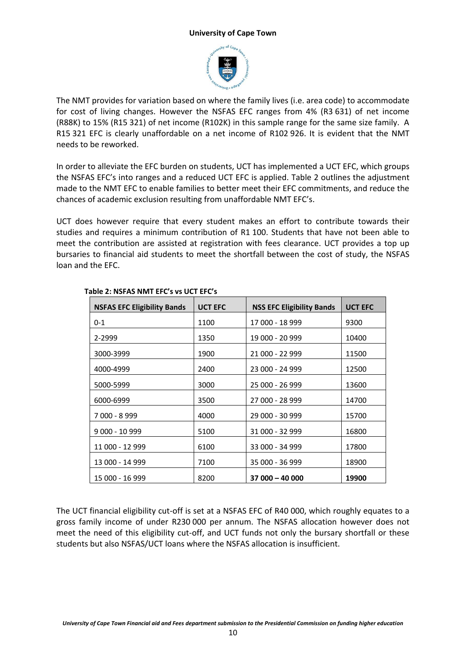

The NMT provides for variation based on where the family lives (i.e. area code) to accommodate for cost of living changes. However the NSFAS EFC ranges from 4% (R3 631) of net income (R88K) to 15% (R15 321) of net income (R102K) in this sample range for the same size family. A R15 321 EFC is clearly unaffordable on a net income of R102 926. It is evident that the NMT needs to be reworked.

In order to alleviate the EFC burden on students, UCT has implemented a UCT EFC, which groups the NSFAS EFC's into ranges and a reduced UCT EFC is applied. Table 2 outlines the adjustment made to the NMT EFC to enable families to better meet their EFC commitments, and reduce the chances of academic exclusion resulting from unaffordable NMT EFC's.

UCT does however require that every student makes an effort to contribute towards their studies and requires a minimum contribution of R1 100. Students that have not been able to meet the contribution are assisted at registration with fees clearance. UCT provides a top up bursaries to financial aid students to meet the shortfall between the cost of study, the NSFAS loan and the EFC.

| <b>NSFAS EFC Eligibility Bands</b> | <b>UCT EFC</b> | <b>NSS EFC Eligibility Bands</b> | <b>UCT EFC</b> |
|------------------------------------|----------------|----------------------------------|----------------|
| $0 - 1$                            | 1100           | 17 000 - 18 999                  | 9300           |
| 2-2999                             | 1350           | 19 000 - 20 999                  | 10400          |
| 3000-3999                          | 1900           | 21 000 - 22 999                  | 11500          |
| 4000-4999                          | 2400           | 23 000 - 24 999                  | 12500          |
| 5000-5999                          | 3000           | 25 000 - 26 999                  | 13600          |
| 6000-6999                          | 3500           | 27 000 - 28 999                  | 14700          |
| 7 000 - 8 999                      | 4000           | 29 000 - 30 999                  | 15700          |
| 9 000 - 10 999                     | 5100           | 31 000 - 32 999                  | 16800          |
| 11 000 - 12 999                    | 6100           | 33 000 - 34 999                  | 17800          |
| 13 000 - 14 999                    | 7100           | 35 000 - 36 999                  | 18900          |
| 15 000 - 16 999                    | 8200           | $37000 - 40000$                  | 19900          |

## **Table 2: NSFAS NMT EFC's vs UCT EFC's**

The UCT financial eligibility cut-off is set at a NSFAS EFC of R40 000, which roughly equates to a gross family income of under R230 000 per annum. The NSFAS allocation however does not meet the need of this eligibility cut-off, and UCT funds not only the bursary shortfall or these students but also NSFAS/UCT loans where the NSFAS allocation is insufficient.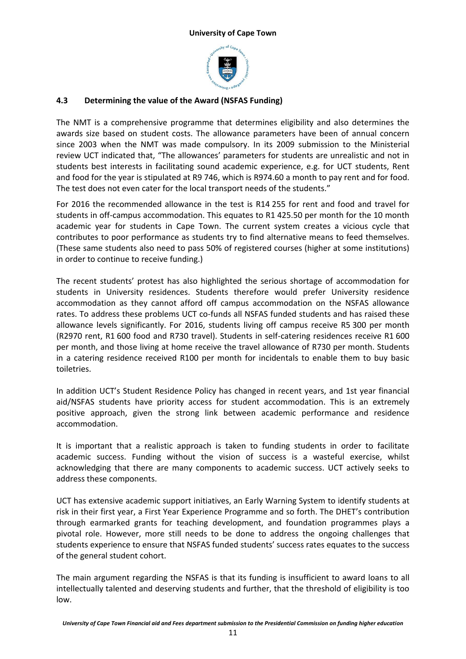

# **4.3 Determining the value of the Award (NSFAS Funding)**

The NMT is a comprehensive programme that determines eligibility and also determines the awards size based on student costs. The allowance parameters have been of annual concern since 2003 when the NMT was made compulsory. In its 2009 submission to the Ministerial review UCT indicated that, "The allowances' parameters for students are unrealistic and not in students best interests in facilitating sound academic experience, e.g. for UCT students, Rent and food for the year is stipulated at R9 746, which is R974.60 a month to pay rent and for food. The test does not even cater for the local transport needs of the students."

For 2016 the recommended allowance in the test is R14 255 for rent and food and travel for students in off-campus accommodation. This equates to R1 425.50 per month for the 10 month academic year for students in Cape Town. The current system creates a vicious cycle that contributes to poor performance as students try to find alternative means to feed themselves. (These same students also need to pass 50% of registered courses (higher at some institutions) in order to continue to receive funding.)

The recent students' protest has also highlighted the serious shortage of accommodation for students in University residences. Students therefore would prefer University residence accommodation as they cannot afford off campus accommodation on the NSFAS allowance rates. To address these problems UCT co-funds all NSFAS funded students and has raised these allowance levels significantly. For 2016, students living off campus receive R5 300 per month (R2970 rent, R1 600 food and R730 travel). Students in self-catering residences receive R1 600 per month, and those living at home receive the travel allowance of R730 per month. Students in a catering residence received R100 per month for incidentals to enable them to buy basic toiletries.

In addition UCT's Student Residence Policy has changed in recent years, and 1st year financial aid/NSFAS students have priority access for student accommodation. This is an extremely positive approach, given the strong link between academic performance and residence accommodation.

It is important that a realistic approach is taken to funding students in order to facilitate academic success. Funding without the vision of success is a wasteful exercise, whilst acknowledging that there are many components to academic success. UCT actively seeks to address these components.

UCT has extensive academic support initiatives, an Early Warning System to identify students at risk in their first year, a First Year Experience Programme and so forth. The DHET's contribution through earmarked grants for teaching development, and foundation programmes plays a pivotal role. However, more still needs to be done to address the ongoing challenges that students experience to ensure that NSFAS funded students' success rates equates to the success of the general student cohort.

The main argument regarding the NSFAS is that its funding is insufficient to award loans to all intellectually talented and deserving students and further, that the threshold of eligibility is too low.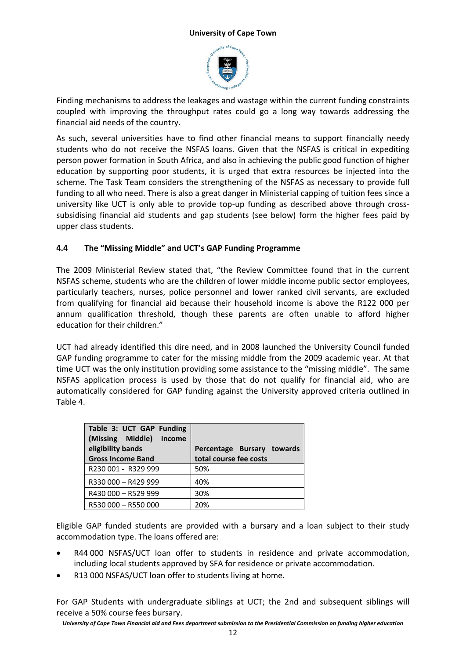

Finding mechanisms to address the leakages and wastage within the current funding constraints coupled with improving the throughput rates could go a long way towards addressing the financial aid needs of the country.

As such, several universities have to find other financial means to support financially needy students who do not receive the NSFAS loans. Given that the NSFAS is critical in expediting person power formation in South Africa, and also in achieving the public good function of higher education by supporting poor students, it is urged that extra resources be injected into the scheme. The Task Team considers the strengthening of the NSFAS as necessary to provide full funding to all who need. There is also a great danger in Ministerial capping of tuition fees since a university like UCT is only able to provide top-up funding as described above through crosssubsidising financial aid students and gap students (see below) form the higher fees paid by upper class students.

## **4.4 The "Missing Middle" and UCT's GAP Funding Programme**

The 2009 Ministerial Review stated that, "the Review Committee found that in the current NSFAS scheme, students who are the children of lower middle income public sector employees, particularly teachers, nurses, police personnel and lower ranked civil servants, are excluded from qualifying for financial aid because their household income is above the R122 000 per annum qualification threshold, though these parents are often unable to afford higher education for their children."

UCT had already identified this dire need, and in 2008 launched the University Council funded GAP funding programme to cater for the missing middle from the 2009 academic year. At that time UCT was the only institution providing some assistance to the "missing middle". The same NSFAS application process is used by those that do not qualify for financial aid, who are automatically considered for GAP funding against the University approved criteria outlined in Table 4.

| Table 3: UCT GAP Funding<br>(Missing Middle) Income<br>eligibility bands<br><b>Gross Income Band</b> | Percentage Bursary towards<br>total course fee costs |
|------------------------------------------------------------------------------------------------------|------------------------------------------------------|
| R230 001 - R329 999                                                                                  | 50%                                                  |
| R330 000 - R429 999                                                                                  | 40%                                                  |
| R430 000 - R529 999                                                                                  | 30%                                                  |
| R530 000 - R550 000                                                                                  | 20%                                                  |

Eligible GAP funded students are provided with a bursary and a loan subject to their study accommodation type. The loans offered are:

- R44 000 NSFAS/UCT loan offer to students in residence and private accommodation, including local students approved by SFA for residence or private accommodation.
- R13 000 NSFAS/UCT loan offer to students living at home.

For GAP Students with undergraduate siblings at UCT; the 2nd and subsequent siblings will receive a 50% course fees bursary.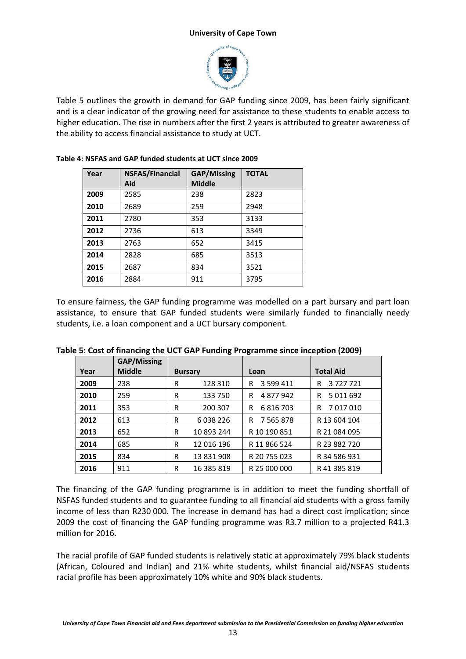

Table 5 outlines the growth in demand for GAP funding since 2009, has been fairly significant and is a clear indicator of the growing need for assistance to these students to enable access to higher education. The rise in numbers after the first 2 years is attributed to greater awareness of the ability to access financial assistance to study at UCT.

| Year | <b>NSFAS/Financial</b> | <b>GAP/Missing</b> | <b>TOTAL</b> |
|------|------------------------|--------------------|--------------|
|      | Aid                    | <b>Middle</b>      |              |
| 2009 | 2585                   | 238                | 2823         |
| 2010 | 2689                   | 259                | 2948         |
| 2011 | 2780                   | 353                | 3133         |
| 2012 | 2736                   | 613                | 3349         |
| 2013 | 2763                   | 652                | 3415         |
| 2014 | 2828                   | 685                | 3513         |
| 2015 | 2687                   | 834                | 3521         |
| 2016 | 2884                   | 911                | 3795         |

### **Table 4: NSFAS and GAP funded students at UCT since 2009**

To ensure fairness, the GAP funding programme was modelled on a part bursary and part loan assistance, to ensure that GAP funded students were similarly funded to financially needy students, i.e. a loan component and a UCT bursary component.

|      | <b>GAP/Missing</b> |   |                |                    |                    |  |
|------|--------------------|---|----------------|--------------------|--------------------|--|
| Year | <b>Middle</b>      |   | <b>Bursary</b> | Loan               | <b>Total Aid</b>   |  |
| 2009 | 238                | R | 128 310        | 3 599 411<br>R     | 3727721<br>R       |  |
| 2010 | 259                | R | 133 750        | 4877942<br>R       | 5 0 1 1 6 9 2<br>R |  |
| 2011 | 353                | R | 200 307        | R<br>6816703       | 7017010<br>R       |  |
| 2012 | 613                | R | 6038226        | 7 5 6 5 8 7 8<br>R | R 13 604 104       |  |
| 2013 | 652                | R | 10 893 244     | R 10 190 851       | R 21 084 095       |  |
| 2014 | 685                | R | 12 016 196     | R 11 866 524       | R 23 882 720       |  |
| 2015 | 834                | R | 13 831 908     | R 20 755 023       | R 34 586 931       |  |
| 2016 | 911                | R | 16 385 819     | R 25 000 000       | R 41 385 819       |  |

#### **Table 5: Cost of financing the UCT GAP Funding Programme since inception (2009)**

The financing of the GAP funding programme is in addition to meet the funding shortfall of NSFAS funded students and to guarantee funding to all financial aid students with a gross family income of less than R230 000. The increase in demand has had a direct cost implication; since 2009 the cost of financing the GAP funding programme was R3.7 million to a projected R41.3 million for 2016.

The racial profile of GAP funded students is relatively static at approximately 79% black students (African, Coloured and Indian) and 21% white students, whilst financial aid/NSFAS students racial profile has been approximately 10% white and 90% black students.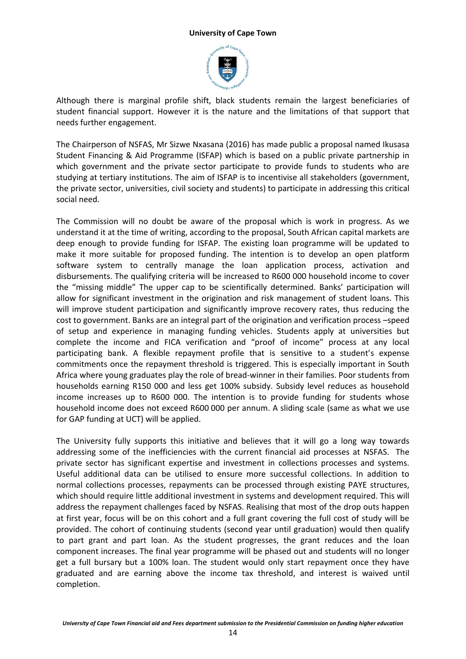

Although there is marginal profile shift, black students remain the largest beneficiaries of student financial support. However it is the nature and the limitations of that support that needs further engagement.

The Chairperson of NSFAS, Mr Sizwe Nxasana (2016) has made public a proposal named Ikusasa Student Financing & Aid Programme (ISFAP) which is based on a public private partnership in which government and the private sector participate to provide funds to students who are studying at tertiary institutions. The aim of ISFAP is to incentivise all stakeholders (government, the private sector, universities, civil society and students) to participate in addressing this critical social need.

The Commission will no doubt be aware of the proposal which is work in progress. As we understand it at the time of writing, according to the proposal, South African capital markets are deep enough to provide funding for ISFAP. The existing loan programme will be updated to make it more suitable for proposed funding. The intention is to develop an open platform software system to centrally manage the loan application process, activation and disbursements. The qualifying criteria will be increased to R600 000 household income to cover the "missing middle" The upper cap to be scientifically determined. Banks' participation will allow for significant investment in the origination and risk management of student loans. This will improve student participation and significantly improve recovery rates, thus reducing the cost to government. Banks are an integral part of the origination and verification process –speed of setup and experience in managing funding vehicles. Students apply at universities but complete the income and FICA verification and "proof of income" process at any local participating bank. A flexible repayment profile that is sensitive to a student's expense commitments once the repayment threshold is triggered. This is especially important in South Africa where young graduates play the role of bread-winner in their families. Poor students from households earning R150 000 and less get 100% subsidy. Subsidy level reduces as household income increases up to R600 000. The intention is to provide funding for students whose household income does not exceed R600 000 per annum. A sliding scale (same as what we use for GAP funding at UCT) will be applied.

The University fully supports this initiative and believes that it will go a long way towards addressing some of the inefficiencies with the current financial aid processes at NSFAS. The private sector has significant expertise and investment in collections processes and systems. Useful additional data can be utilised to ensure more successful collections. In addition to normal collections processes, repayments can be processed through existing PAYE structures, which should require little additional investment in systems and development required. This will address the repayment challenges faced by NSFAS. Realising that most of the drop outs happen at first year, focus will be on this cohort and a full grant covering the full cost of study will be provided. The cohort of continuing students (second year until graduation) would then qualify to part grant and part loan. As the student progresses, the grant reduces and the loan component increases. The final year programme will be phased out and students will no longer get a full bursary but a 100% loan. The student would only start repayment once they have graduated and are earning above the income tax threshold, and interest is waived until completion.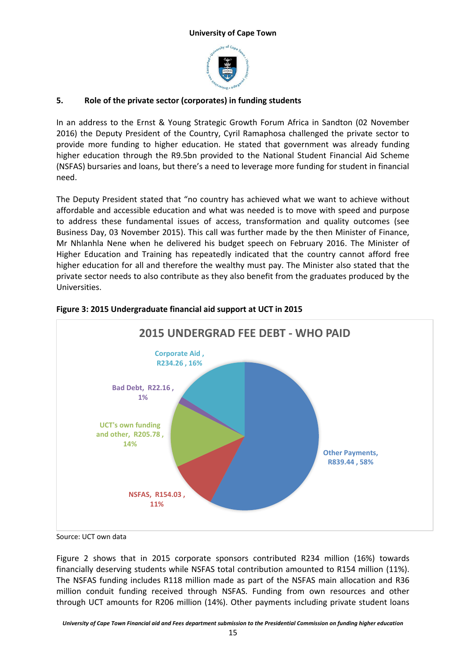

# **5. Role of the private sector (corporates) in funding students**

In an address to the Ernst & Young Strategic Growth Forum Africa in Sandton (02 November 2016) the Deputy President of the Country, Cyril Ramaphosa challenged the private sector to provide more funding to higher education. He stated that government was already funding higher education through the R9.5bn provided to the National Student Financial Aid Scheme (NSFAS) bursaries and loans, but there's a need to leverage more funding for student in financial need.

The Deputy President stated that "no country has achieved what we want to achieve without affordable and accessible education and what was needed is to move with speed and purpose to address these fundamental issues of access, transformation and quality outcomes (see Business Day, 03 November 2015). This call was further made by the then Minister of Finance, Mr Nhlanhla Nene when he delivered his budget speech on February 2016. The Minister of Higher Education and Training has repeatedly indicated that the country cannot afford free higher education for all and therefore the wealthy must pay. The Minister also stated that the private sector needs to also contribute as they also benefit from the graduates produced by the Universities.



# **Figure 3: 2015 Undergraduate financial aid support at UCT in 2015**

Source: UCT own data

Figure 2 shows that in 2015 corporate sponsors contributed R234 million (16%) towards financially deserving students while NSFAS total contribution amounted to R154 million (11%). The NSFAS funding includes R118 million made as part of the NSFAS main allocation and R36 million conduit funding received through NSFAS. Funding from own resources and other through UCT amounts for R206 million (14%). Other payments including private student loans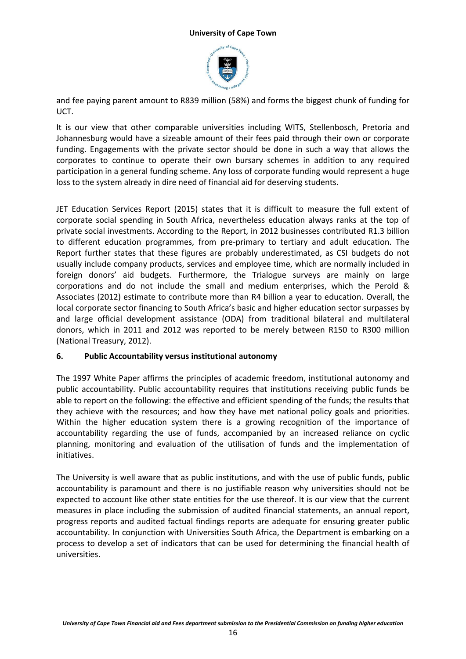

and fee paying parent amount to R839 million (58%) and forms the biggest chunk of funding for UCT.

It is our view that other comparable universities including WITS, Stellenbosch, Pretoria and Johannesburg would have a sizeable amount of their fees paid through their own or corporate funding. Engagements with the private sector should be done in such a way that allows the corporates to continue to operate their own bursary schemes in addition to any required participation in a general funding scheme. Any loss of corporate funding would represent a huge loss to the system already in dire need of financial aid for deserving students.

JET Education Services Report (2015) states that it is difficult to measure the full extent of corporate social spending in South Africa, nevertheless education always ranks at the top of private social investments. According to the Report, in 2012 businesses contributed R1.3 billion to different education programmes, from pre-primary to tertiary and adult education. The Report further states that these figures are probably underestimated, as CSI budgets do not usually include company products, services and employee time, which are normally included in foreign donors' aid budgets. Furthermore, the Trialogue surveys are mainly on large corporations and do not include the small and medium enterprises, which the Perold & Associates (2012) estimate to contribute more than R4 billion a year to education. Overall, the local corporate sector financing to South Africa's basic and higher education sector surpasses by and large official development assistance (ODA) from traditional bilateral and multilateral donors, which in 2011 and 2012 was reported to be merely between R150 to R300 million (National Treasury, 2012).

## **6. Public Accountability versus institutional autonomy**

The 1997 White Paper affirms the principles of academic freedom, institutional autonomy and public accountability. Public accountability requires that institutions receiving public funds be able to report on the following: the effective and efficient spending of the funds; the results that they achieve with the resources; and how they have met national policy goals and priorities. Within the higher education system there is a growing recognition of the importance of accountability regarding the use of funds, accompanied by an increased reliance on cyclic planning, monitoring and evaluation of the utilisation of funds and the implementation of initiatives.

The University is well aware that as public institutions, and with the use of public funds, public accountability is paramount and there is no justifiable reason why universities should not be expected to account like other state entities for the use thereof. It is our view that the current measures in place including the submission of audited financial statements, an annual report, progress reports and audited factual findings reports are adequate for ensuring greater public accountability. In conjunction with Universities South Africa, the Department is embarking on a process to develop a set of indicators that can be used for determining the financial health of universities.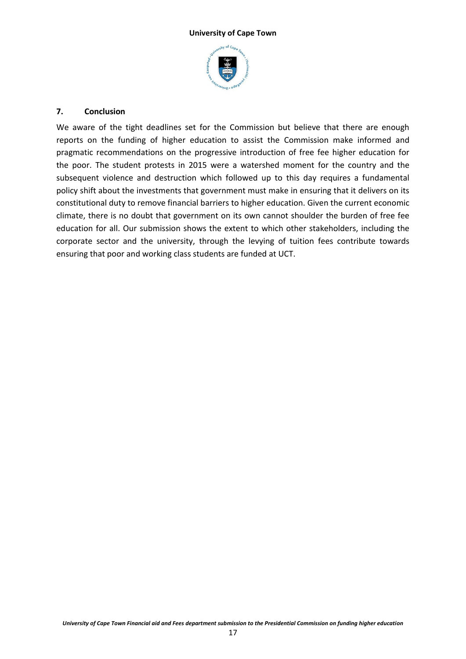

## **7. Conclusion**

We aware of the tight deadlines set for the Commission but believe that there are enough reports on the funding of higher education to assist the Commission make informed and pragmatic recommendations on the progressive introduction of free fee higher education for the poor. The student protests in 2015 were a watershed moment for the country and the subsequent violence and destruction which followed up to this day requires a fundamental policy shift about the investments that government must make in ensuring that it delivers on its constitutional duty to remove financial barriers to higher education. Given the current economic climate, there is no doubt that government on its own cannot shoulder the burden of free fee education for all. Our submission shows the extent to which other stakeholders, including the corporate sector and the university, through the levying of tuition fees contribute towards ensuring that poor and working class students are funded at UCT.